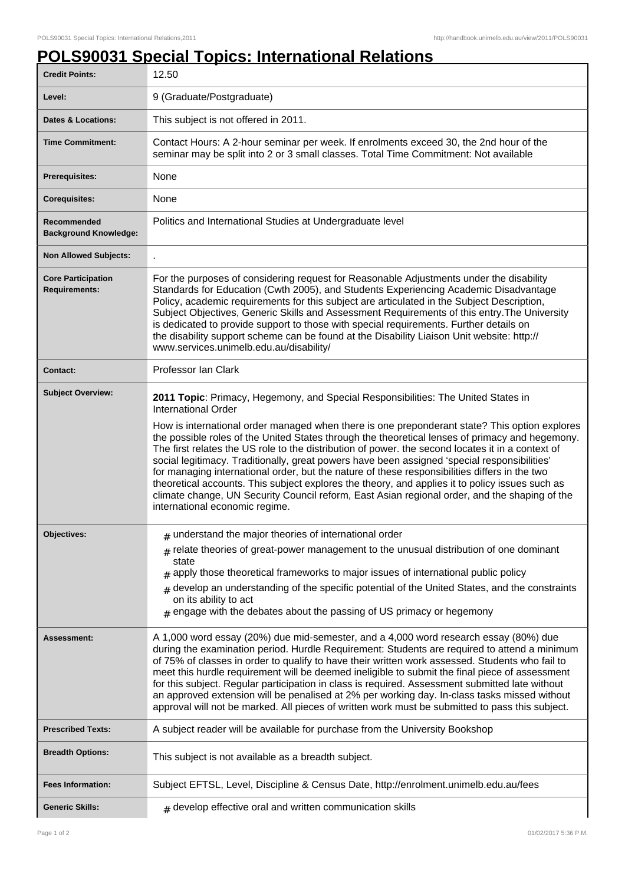## **POLS90031 Special Topics: International Relations**

| <b>Credit Points:</b>                             | 12.50                                                                                                                                                                                                                                                                                                                                                                                                                                                                                                                                                                                                                                                                                                                                                                                                                                                           |
|---------------------------------------------------|-----------------------------------------------------------------------------------------------------------------------------------------------------------------------------------------------------------------------------------------------------------------------------------------------------------------------------------------------------------------------------------------------------------------------------------------------------------------------------------------------------------------------------------------------------------------------------------------------------------------------------------------------------------------------------------------------------------------------------------------------------------------------------------------------------------------------------------------------------------------|
| Level:                                            | 9 (Graduate/Postgraduate)                                                                                                                                                                                                                                                                                                                                                                                                                                                                                                                                                                                                                                                                                                                                                                                                                                       |
| <b>Dates &amp; Locations:</b>                     | This subject is not offered in 2011.                                                                                                                                                                                                                                                                                                                                                                                                                                                                                                                                                                                                                                                                                                                                                                                                                            |
| <b>Time Commitment:</b>                           | Contact Hours: A 2-hour seminar per week. If enrolments exceed 30, the 2nd hour of the<br>seminar may be split into 2 or 3 small classes. Total Time Commitment: Not available                                                                                                                                                                                                                                                                                                                                                                                                                                                                                                                                                                                                                                                                                  |
| <b>Prerequisites:</b>                             | None                                                                                                                                                                                                                                                                                                                                                                                                                                                                                                                                                                                                                                                                                                                                                                                                                                                            |
| <b>Corequisites:</b>                              | None                                                                                                                                                                                                                                                                                                                                                                                                                                                                                                                                                                                                                                                                                                                                                                                                                                                            |
| Recommended<br><b>Background Knowledge:</b>       | Politics and International Studies at Undergraduate level                                                                                                                                                                                                                                                                                                                                                                                                                                                                                                                                                                                                                                                                                                                                                                                                       |
| <b>Non Allowed Subjects:</b>                      |                                                                                                                                                                                                                                                                                                                                                                                                                                                                                                                                                                                                                                                                                                                                                                                                                                                                 |
| <b>Core Participation</b><br><b>Requirements:</b> | For the purposes of considering request for Reasonable Adjustments under the disability<br>Standards for Education (Cwth 2005), and Students Experiencing Academic Disadvantage<br>Policy, academic requirements for this subject are articulated in the Subject Description,<br>Subject Objectives, Generic Skills and Assessment Requirements of this entry. The University<br>is dedicated to provide support to those with special requirements. Further details on<br>the disability support scheme can be found at the Disability Liaison Unit website: http://<br>www.services.unimelb.edu.au/disability/                                                                                                                                                                                                                                                |
| <b>Contact:</b>                                   | Professor Ian Clark                                                                                                                                                                                                                                                                                                                                                                                                                                                                                                                                                                                                                                                                                                                                                                                                                                             |
| <b>Subject Overview:</b>                          | 2011 Topic: Primacy, Hegemony, and Special Responsibilities: The United States in<br><b>International Order</b><br>How is international order managed when there is one preponderant state? This option explores<br>the possible roles of the United States through the theoretical lenses of primacy and hegemony.<br>The first relates the US role to the distribution of power. the second locates it in a context of<br>social legitimacy. Traditionally, great powers have been assigned 'special responsibilities'<br>for managing international order, but the nature of these responsibilities differs in the two<br>theoretical accounts. This subject explores the theory, and applies it to policy issues such as<br>climate change, UN Security Council reform, East Asian regional order, and the shaping of the<br>international economic regime. |
| <b>Objectives:</b>                                | $_{\text{\#}}$ understand the major theories of international order<br>$#$ relate theories of great-power management to the unusual distribution of one dominant<br>state<br>$_{\#}$ apply those theoretical frameworks to major issues of international public policy<br>$*$ develop an understanding of the specific potential of the United States, and the constraints<br>on its ability to act<br>$#$ engage with the debates about the passing of US primacy or hegemony                                                                                                                                                                                                                                                                                                                                                                                  |
| <b>Assessment:</b>                                | A 1,000 word essay (20%) due mid-semester, and a 4,000 word research essay (80%) due<br>during the examination period. Hurdle Requirement: Students are required to attend a minimum<br>of 75% of classes in order to qualify to have their written work assessed. Students who fail to<br>meet this hurdle requirement will be deemed ineligible to submit the final piece of assessment<br>for this subject. Regular participation in class is required. Assessment submitted late without<br>an approved extension will be penalised at 2% per working day. In-class tasks missed without<br>approval will not be marked. All pieces of written work must be submitted to pass this subject.                                                                                                                                                                 |
| <b>Prescribed Texts:</b>                          | A subject reader will be available for purchase from the University Bookshop                                                                                                                                                                                                                                                                                                                                                                                                                                                                                                                                                                                                                                                                                                                                                                                    |
| <b>Breadth Options:</b>                           | This subject is not available as a breadth subject.                                                                                                                                                                                                                                                                                                                                                                                                                                                                                                                                                                                                                                                                                                                                                                                                             |
| <b>Fees Information:</b>                          | Subject EFTSL, Level, Discipline & Census Date, http://enrolment.unimelb.edu.au/fees                                                                                                                                                                                                                                                                                                                                                                                                                                                                                                                                                                                                                                                                                                                                                                            |
| <b>Generic Skills:</b>                            | $#$ develop effective oral and written communication skills                                                                                                                                                                                                                                                                                                                                                                                                                                                                                                                                                                                                                                                                                                                                                                                                     |